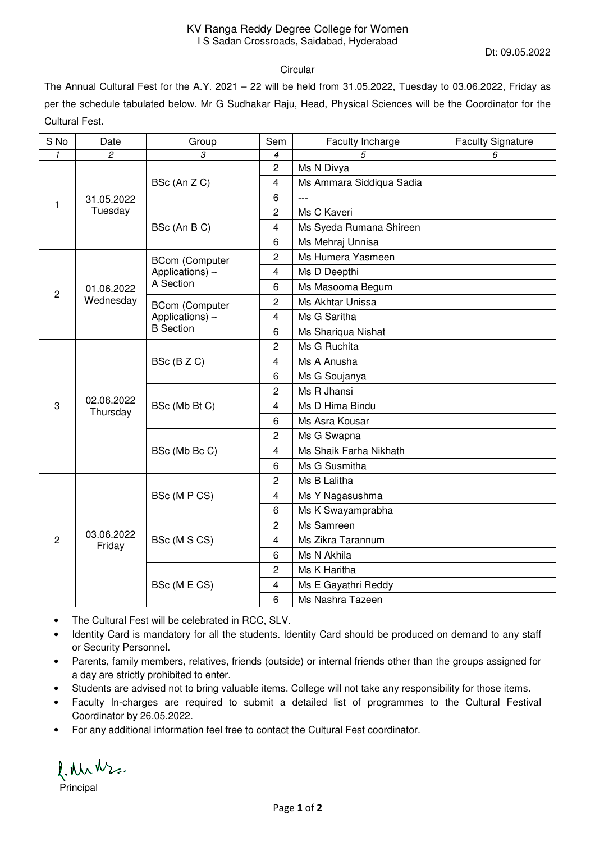Dt: 09.05.2022

## **Circular**

The Annual Cultural Fest for the A.Y. 2021 – 22 will be held from 31.05.2022, Tuesday to 03.06.2022, Friday as per the schedule tabulated below. Mr G Sudhakar Raju, Head, Physical Sciences will be the Coordinator for the Cultural Fest.

| S No           | Date                    | Group                                                        | Sem            | Faculty Incharge         | <b>Faculty Signature</b> |
|----------------|-------------------------|--------------------------------------------------------------|----------------|--------------------------|--------------------------|
| $\mathbf{1}$   | $\overline{c}$          | 3                                                            | 4              | 5                        | 6                        |
| 1              | 31.05.2022<br>Tuesday   | BSc (An Z C)                                                 | 2              | Ms N Divya               |                          |
|                |                         |                                                              | 4              | Ms Ammara Siddiqua Sadia |                          |
|                |                         |                                                              | 6              | $\overline{a}$           |                          |
|                |                         | BSc (An B C)                                                 | $\overline{c}$ | Ms C Kaveri              |                          |
|                |                         |                                                              | 4              | Ms Syeda Rumana Shireen  |                          |
|                |                         |                                                              | 6              | Ms Mehraj Unnisa         |                          |
| $\overline{c}$ | 01.06.2022<br>Wednesday | <b>BCom (Computer</b><br>Applications) -<br>A Section        | 2              | Ms Humera Yasmeen        |                          |
|                |                         |                                                              | 4              | Ms D Deepthi             |                          |
|                |                         |                                                              | 6              | Ms Masooma Begum         |                          |
|                |                         | <b>BCom (Computer</b><br>Applications) -<br><b>B</b> Section | 2              | Ms Akhtar Unissa         |                          |
|                |                         |                                                              | 4              | Ms G Saritha             |                          |
|                |                         |                                                              | 6              | Ms Shariqua Nishat       |                          |
|                | 02.06.2022<br>Thursday  | BSc (BZC)                                                    | 2              | Ms G Ruchita             |                          |
| 3              |                         |                                                              | 4              | Ms A Anusha              |                          |
|                |                         |                                                              | $\,6$          | Ms G Soujanya            |                          |
|                |                         | BSc (Mb Bt C)                                                | 2              | Ms R Jhansi              |                          |
|                |                         |                                                              | 4              | Ms D Hima Bindu          |                          |
|                |                         |                                                              | 6              | Ms Asra Kousar           |                          |
|                |                         | BSc (Mb Bc C)                                                | 2              | Ms G Swapna              |                          |
|                |                         |                                                              | 4              | Ms Shaik Farha Nikhath   |                          |
|                |                         |                                                              | 6              | Ms G Susmitha            |                          |
| $\overline{2}$ | 03.06.2022<br>Friday    | BSc (M P CS)                                                 | $\overline{c}$ | Ms B Lalitha             |                          |
|                |                         |                                                              | 4              | Ms Y Nagasushma          |                          |
|                |                         |                                                              | 6              | Ms K Swayamprabha        |                          |
|                |                         | BSc (M S CS)                                                 | $\overline{c}$ | Ms Samreen               |                          |
|                |                         |                                                              | $\overline{4}$ | Ms Zikra Tarannum        |                          |
|                |                         |                                                              | 6              | Ms N Akhila              |                          |
|                |                         | BSc (M E CS)                                                 | 2              | Ms K Haritha             |                          |
|                |                         |                                                              | 4              | Ms E Gayathri Reddy      |                          |
|                |                         |                                                              | 6              | Ms Nashra Tazeen         |                          |

- The Cultural Fest will be celebrated in RCC, SLV.
- Identity Card is mandatory for all the students. Identity Card should be produced on demand to any staff or Security Personnel.
- Parents, family members, relatives, friends (outside) or internal friends other than the groups assigned for a day are strictly prohibited to enter.
- Students are advised not to bring valuable items. College will not take any responsibility for those items.
- Faculty In-charges are required to submit a detailed list of programmes to the Cultural Festival Coordinator by 26.05.2022.
- For any additional information feel free to contact the Cultural Fest coordinator.

l. Metro.

Principal